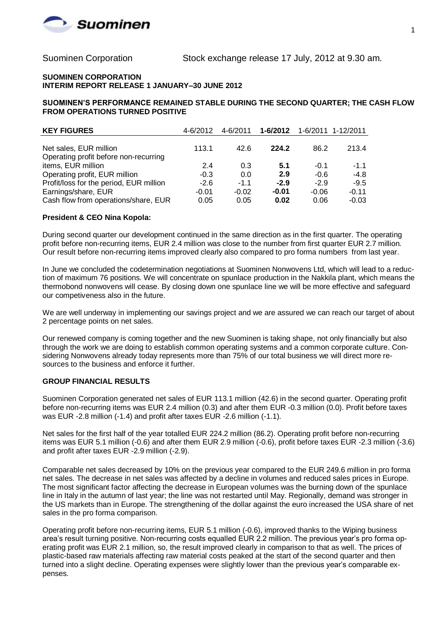

#### **SUOMINEN CORPORATION INTERIM REPORT RELEASE 1 JANUARY–30 JUNE 2012**

**SUOMINEN'S PERFORMANCE REMAINED STABLE DURING THE SECOND QUARTER; THE CASH FLOW FROM OPERATIONS TURNED POSITIVE**

| <b>KEY FIGURES</b>                                          | 4-6/2012 | 4-6/2011 | 1-6/2012 |         | 1-6/2011 1-12/2011 |
|-------------------------------------------------------------|----------|----------|----------|---------|--------------------|
| Net sales, EUR million                                      | 113.1    | 42.6     | 224.2    | 86.2    | 213.4              |
| Operating profit before non-recurring<br>items, EUR million | 2.4      | 0.3      | 5.1      | $-0.1$  | $-1.1$             |
| Operating profit, EUR million                               | $-0.3$   | 0.0      | 2.9      | $-0.6$  | $-4.8$             |
| Profit/loss for the period, EUR million                     | $-2.6$   | $-1.1$   | $-2.9$   | $-2.9$  | $-9.5$             |
| Earnings/share, EUR                                         | $-0.01$  | $-0.02$  | $-0.01$  | $-0.06$ | $-0.11$            |
| Cash flow from operations/share, EUR                        | 0.05     | 0.05     | 0.02     | 0.06    | $-0.03$            |

### **President & CEO Nina Kopola:**

During second quarter our development continued in the same direction as in the first quarter. The operating profit before non-recurring items, EUR 2.4 million was close to the number from first quarter EUR 2.7 million. Our result before non-recurring items improved clearly also compared to pro forma numbers from last year.

In June we concluded the codetermination negotiations at Suominen Nonwovens Ltd, which will lead to a reduction of maximum 76 positions. We will concentrate on spunlace production in the Nakkila plant, which means the thermobond nonwovens will cease. By closing down one spunlace line we will be more effective and safeguard our competiveness also in the future.

We are well underway in implementing our savings project and we are assured we can reach our target of about 2 percentage points on net sales.

Our renewed company is coming together and the new Suominen is taking shape, not only financially but also through the work we are doing to establish common operating systems and a common corporate culture. Considering Nonwovens already today represents more than 75% of our total business we will direct more resources to the business and enforce it further.

### **GROUP FINANCIAL RESULTS**

Suominen Corporation generated net sales of EUR 113.1 million (42.6) in the second quarter. Operating profit before non-recurring items was EUR 2.4 million (0.3) and after them EUR -0.3 million (0.0). Profit before taxes was EUR -2.8 million (-1.4) and profit after taxes EUR -2.6 million (-1.1).

Net sales for the first half of the year totalled EUR 224.2 million (86.2). Operating profit before non-recurring items was EUR 5.1 million (-0.6) and after them EUR 2.9 million (-0.6), profit before taxes EUR -2.3 million (-3.6) and profit after taxes EUR -2.9 million (-2.9).

Comparable net sales decreased by 10% on the previous year compared to the EUR 249.6 million in pro forma net sales. The decrease in net sales was affected by a decline in volumes and reduced sales prices in Europe. The most significant factor affecting the decrease in European volumes was the burning down of the spunlace line in Italy in the autumn of last year; the line was not restarted until May. Regionally, demand was stronger in the US markets than in Europe. The strengthening of the dollar against the euro increased the USA share of net sales in the pro forma comparison.

Operating profit before non-recurring items, EUR 5.1 million (-0.6), improved thanks to the Wiping business area's result turning positive. Non-recurring costs equalled EUR 2.2 million. The previous year's pro forma operating profit was EUR 2.1 million, so, the result improved clearly in comparison to that as well. The prices of plastic-based raw materials affecting raw material costs peaked at the start of the second quarter and then turned into a slight decline. Operating expenses were slightly lower than the previous year's comparable expenses.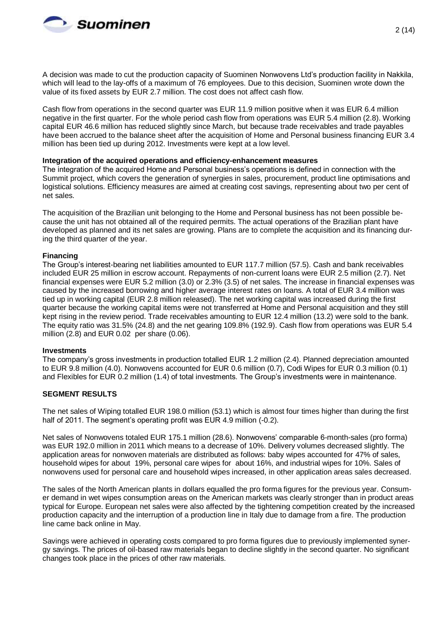

A decision was made to cut the production capacity of Suominen Nonwovens Ltd's production facility in Nakkila, which will lead to the lay-offs of a maximum of 76 employees. Due to this decision, Suominen wrote down the value of its fixed assets by EUR 2.7 million. The cost does not affect cash flow.

Cash flow from operations in the second quarter was EUR 11.9 million positive when it was EUR 6.4 million negative in the first quarter. For the whole period cash flow from operations was EUR 5.4 million (2.8). Working capital EUR 46.6 million has reduced slightly since March, but because trade receivables and trade payables have been accrued to the balance sheet after the acquisition of Home and Personal business financing EUR 3.4 million has been tied up during 2012. Investments were kept at a low level.

#### **Integration of the acquired operations and efficiency-enhancement measures**

The integration of the acquired Home and Personal business's operations is defined in connection with the Summit project, which covers the generation of synergies in sales, procurement, product line optimisations and logistical solutions. Efficiency measures are aimed at creating cost savings, representing about two per cent of net sales.

The acquisition of the Brazilian unit belonging to the Home and Personal business has not been possible because the unit has not obtained all of the required permits. The actual operations of the Brazilian plant have developed as planned and its net sales are growing. Plans are to complete the acquisition and its financing during the third quarter of the year.

### **Financing**

The Group's interest-bearing net liabilities amounted to EUR 117.7 million (57.5). Cash and bank receivables included EUR 25 million in escrow account. Repayments of non-current loans were EUR 2.5 million (2.7). Net financial expenses were EUR 5.2 million (3.0) or 2.3% (3.5) of net sales. The increase in financial expenses was caused by the increased borrowing and higher average interest rates on loans. A total of EUR 3.4 million was tied up in working capital (EUR 2.8 million released). The net working capital was increased during the first quarter because the working capital items were not transferred at Home and Personal acquisition and they still kept rising in the review period. Trade receivables amounting to EUR 12.4 million (13.2) were sold to the bank. The equity ratio was 31.5% (24.8) and the net gearing 109.8% (192.9). Cash flow from operations was EUR 5.4 million (2.8) and EUR 0.02 per share (0.06).

#### **Investments**

The company's gross investments in production totalled EUR 1.2 million (2.4). Planned depreciation amounted to EUR 9.8 million (4.0). Nonwovens accounted for EUR 0.6 million (0.7), Codi Wipes for EUR 0.3 million (0.1) and Flexibles for EUR 0.2 million (1.4) of total investments. The Group's investments were in maintenance.

### **SEGMENT RESULTS**

The net sales of Wiping totalled EUR 198.0 million (53.1) which is almost four times higher than during the first half of 2011. The segment's operating profit was EUR 4.9 million (-0.2).

Net sales of Nonwovens totaled EUR 175.1 million (28.6). Nonwovens' comparable 6-month-sales (pro forma) was EUR 192.0 million in 2011 which means to a decrease of 10%. Delivery volumes decreased slightly. The application areas for nonwoven materials are distributed as follows: baby wipes accounted for 47% of sales, household wipes for about 19%, personal care wipes for about 16%, and industrial wipes for 10%. Sales of nonwovens used for personal care and household wipes increased, in other application areas sales decreased.

The sales of the North American plants in dollars equalled the pro forma figures for the previous year. Consumer demand in wet wipes consumption areas on the American markets was clearly stronger than in product areas typical for Europe. European net sales were also affected by the tightening competition created by the increased production capacity and the interruption of a production line in Italy due to damage from a fire. The production line came back online in May.

Savings were achieved in operating costs compared to pro forma figures due to previously implemented synergy savings. The prices of oil-based raw materials began to decline slightly in the second quarter. No significant changes took place in the prices of other raw materials.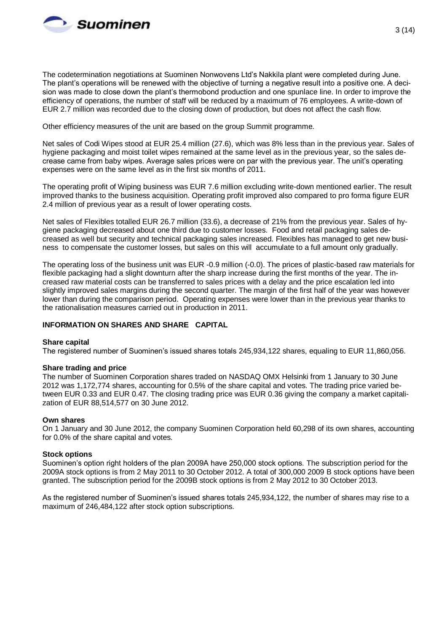

The codetermination negotiations at Suominen Nonwovens Ltd's Nakkila plant were completed during June. The plant's operations will be renewed with the objective of turning a negative result into a positive one. A decision was made to close down the plant's thermobond production and one spunlace line. In order to improve the efficiency of operations, the number of staff will be reduced by a maximum of 76 employees. A write-down of EUR 2.7 million was recorded due to the closing down of production, but does not affect the cash flow.

Other efficiency measures of the unit are based on the group Summit programme.

Net sales of Codi Wipes stood at EUR 25.4 million (27.6), which was 8% less than in the previous year. Sales of hygiene packaging and moist toilet wipes remained at the same level as in the previous year, so the sales decrease came from baby wipes. Average sales prices were on par with the previous year. The unit's operating expenses were on the same level as in the first six months of 2011.

The operating profit of Wiping business was EUR 7.6 million excluding write-down mentioned earlier. The result improved thanks to the business acquisition. Operating profit improved also compared to pro forma figure EUR 2.4 million of previous year as a result of lower operating costs.

Net sales of Flexibles totalled EUR 26.7 million (33.6), a decrease of 21% from the previous year. Sales of hygiene packaging decreased about one third due to customer losses. Food and retail packaging sales decreased as well but security and technical packaging sales increased. Flexibles has managed to get new business to compensate the customer losses, but sales on this will accumulate to a full amount only gradually.

The operating loss of the business unit was EUR -0.9 million (-0.0). The prices of plastic-based raw materials for flexible packaging had a slight downturn after the sharp increase during the first months of the year. The increased raw material costs can be transferred to sales prices with a delay and the price escalation led into slightly improved sales margins during the second quarter. The margin of the first half of the year was however lower than during the comparison period. Operating expenses were lower than in the previous year thanks to the rationalisation measures carried out in production in 2011.

## **INFORMATION ON SHARES AND SHARE CAPITAL**

### **Share capital**

The registered number of Suominen's issued shares totals 245,934,122 shares, equaling to EUR 11,860,056.

### **Share trading and price**

The number of Suominen Corporation shares traded on NASDAQ OMX Helsinki from 1 January to 30 June 2012 was 1,172,774 shares, accounting for 0.5% of the share capital and votes. The trading price varied between EUR 0.33 and EUR 0.47. The closing trading price was EUR 0.36 giving the company a market capitalization of EUR 88,514,577 on 30 June 2012.

### **Own shares**

On 1 January and 30 June 2012, the company Suominen Corporation held 60,298 of its own shares, accounting for 0.0% of the share capital and votes.

### **Stock options**

Suominen's option right holders of the plan 2009A have 250,000 stock options. The subscription period for the 2009A stock options is from 2 May 2011 to 30 October 2012. A total of 300,000 2009 B stock options have been granted. The subscription period for the 2009B stock options is from 2 May 2012 to 30 October 2013.

As the registered number of Suominen's issued shares totals 245,934,122, the number of shares may rise to a maximum of 246,484,122 after stock option subscriptions.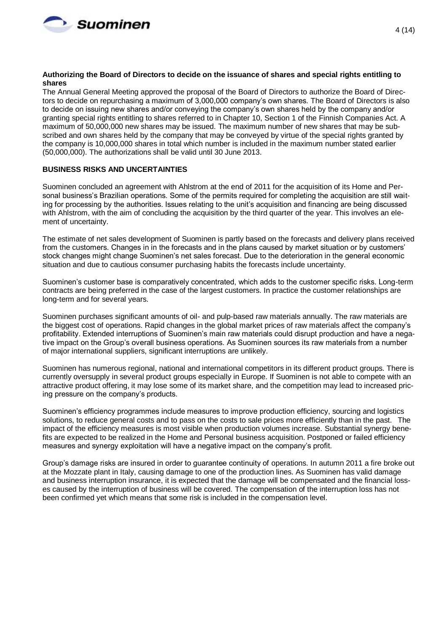

#### **Authorizing the Board of Directors to decide on the issuance of shares and special rights entitling to shares**

The Annual General Meeting approved the proposal of the Board of Directors to authorize the Board of Directors to decide on repurchasing a maximum of 3,000,000 company's own shares. The Board of Directors is also to decide on issuing new shares and/or conveying the company's own shares held by the company and/or granting special rights entitling to shares referred to in Chapter 10, Section 1 of the Finnish Companies Act. A maximum of 50,000,000 new shares may be issued. The maximum number of new shares that may be subscribed and own shares held by the company that may be conveyed by virtue of the special rights granted by the company is 10,000,000 shares in total which number is included in the maximum number stated earlier (50,000,000). The authorizations shall be valid until 30 June 2013.

### **BUSINESS RISKS AND UNCERTAINTIES**

Suominen concluded an agreement with Ahlstrom at the end of 2011 for the acquisition of its Home and Personal business's Brazilian operations. Some of the permits required for completing the acquisition are still waiting for processing by the authorities. Issues relating to the unit's acquisition and financing are being discussed with Ahlstrom, with the aim of concluding the acquisition by the third quarter of the year. This involves an element of uncertainty.

The estimate of net sales development of Suominen is partly based on the forecasts and delivery plans received from the customers. Changes in in the forecasts and in the plans caused by market situation or by customers' stock changes might change Suominen's net sales forecast. Due to the deterioration in the general economic situation and due to cautious consumer purchasing habits the forecasts include uncertainty.

Suominen's customer base is comparatively concentrated, which adds to the customer specific risks. Long-term contracts are being preferred in the case of the largest customers. In practice the customer relationships are long-term and for several years.

Suominen purchases significant amounts of oil- and pulp-based raw materials annually. The raw materials are the biggest cost of operations. Rapid changes in the global market prices of raw materials affect the company's profitability. Extended interruptions of Suominen's main raw materials could disrupt production and have a negative impact on the Group's overall business operations. As Suominen sources its raw materials from a number of major international suppliers, significant interruptions are unlikely.

Suominen has numerous regional, national and international competitors in its different product groups. There is currently oversupply in several product groups especially in Europe. If Suominen is not able to compete with an attractive product offering, it may lose some of its market share, and the competition may lead to increased pricing pressure on the company's products.

Suominen's efficiency programmes include measures to improve production efficiency, sourcing and logistics solutions, to reduce general costs and to pass on the costs to sale prices more efficiently than in the past. The impact of the efficiency measures is most visible when production volumes increase. Substantial synergy benefits are expected to be realized in the Home and Personal business acquisition. Postponed or failed efficiency measures and synergy exploitation will have a negative impact on the company's profit.

Group's damage risks are insured in order to guarantee continuity of operations. In autumn 2011 a fire broke out at the Mozzate plant in Italy, causing damage to one of the production lines. As Suominen has valid damage and business interruption insurance, it is expected that the damage will be compensated and the financial losses caused by the interruption of business will be covered. The compensation of the interruption loss has not been confirmed yet which means that some risk is included in the compensation level.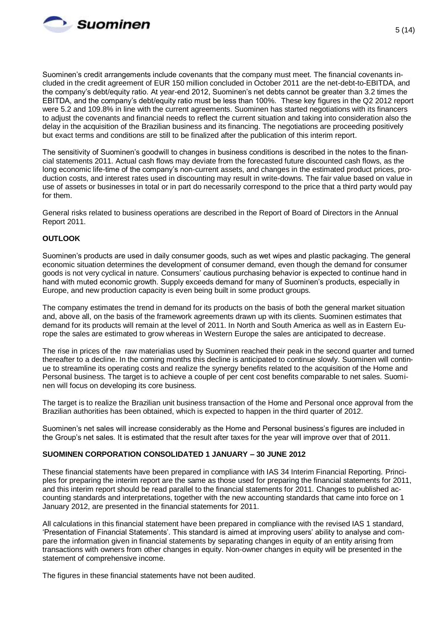

Suominen's credit arrangements include covenants that the company must meet. The financial covenants included in the credit agreement of EUR 150 million concluded in October 2011 are the net-debt-to-EBITDA, and the company's debt/equity ratio. At year-end 2012, Suominen's net debts cannot be greater than 3.2 times the EBITDA, and the company's debt/equity ratio must be less than 100%. These key figures in the Q2 2012 report were 5.2 and 109.8% in line with the current agreements. Suominen has started negotiations with its financers to adjust the covenants and financial needs to reflect the current situation and taking into consideration also the delay in the acquisition of the Brazilian business and its financing. The negotiations are proceeding positively but exact terms and conditions are still to be finalized after the publication of this interim report.

The sensitivity of Suominen's goodwill to changes in business conditions is described in the notes to the financial statements 2011. Actual cash flows may deviate from the forecasted future discounted cash flows, as the long economic life-time of the company's non-current assets, and changes in the estimated product prices, production costs, and interest rates used in discounting may result in write-downs. The fair value based on value in use of assets or businesses in total or in part do necessarily correspond to the price that a third party would pay for them.

General risks related to business operations are described in the Report of Board of Directors in the Annual Report 2011.

# **OUTLOOK**

Suominen's products are used in daily consumer goods, such as wet wipes and plastic packaging. The general economic situation determines the development of consumer demand, even though the demand for consumer goods is not very cyclical in nature. Consumers' cautious purchasing behavior is expected to continue hand in hand with muted economic growth. Supply exceeds demand for many of Suominen's products, especially in Europe, and new production capacity is even being built in some product groups.

The company estimates the trend in demand for its products on the basis of both the general market situation and, above all, on the basis of the framework agreements drawn up with its clients. Suominen estimates that demand for its products will remain at the level of 2011. In North and South America as well as in Eastern Europe the sales are estimated to grow whereas in Western Europe the sales are anticipated to decrease.

The rise in prices of the raw materialias used by Suominen reached their peak in the second quarter and turned thereafter to a decline. In the coming months this decline is anticipated to continue slowly. Suominen will continue to streamline its operating costs and realize the synergy benefits related to the acquisition of the Home and Personal business. The target is to achieve a couple of per cent cost benefits comparable to net sales. Suominen will focus on developing its core business.

The target is to realize the Brazilian unit business transaction of the Home and Personal once approval from the Brazilian authorities has been obtained, which is expected to happen in the third quarter of 2012.

Suominen's net sales will increase considerably as the Home and Personal business's figures are included in the Group's net sales. It is estimated that the result after taxes for the year will improve over that of 2011.

### **SUOMINEN CORPORATION CONSOLIDATED 1 JANUARY – 30 JUNE 2012**

These financial statements have been prepared in compliance with IAS 34 Interim Financial Reporting. Principles for preparing the interim report are the same as those used for preparing the financial statements for 2011, and this interim report should be read parallel to the financial statements for 2011. Changes to published accounting standards and interpretations, together with the new accounting standards that came into force on 1 January 2012, are presented in the financial statements for 2011.

All calculations in this financial statement have been prepared in compliance with the revised IAS 1 standard, 'Presentation of Financial Statements'. This standard is aimed at improving users' ability to analyse and compare the information given in financial statements by separating changes in equity of an entity arising from transactions with owners from other changes in equity. Non-owner changes in equity will be presented in the statement of comprehensive income.

The figures in these financial statements have not been audited.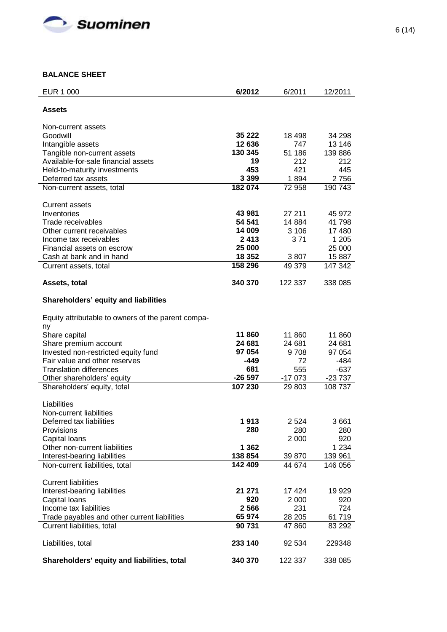

# **BALANCE SHEET**

| EUR 1 000                                           | 6/2012         | 6/2011        | 12/2011           |
|-----------------------------------------------------|----------------|---------------|-------------------|
| Assets                                              |                |               |                   |
|                                                     |                |               |                   |
| Non-current assets                                  |                |               |                   |
| Goodwill                                            | 35 222         | 18 498        | 34 298            |
| Intangible assets                                   | 12 636         | 747           | 13 146            |
| Tangible non-current assets                         | 130 345        | 51 186        | 139 886           |
| Available-for-sale financial assets                 | 19             | 212           | 212               |
| Held-to-maturity investments                        | 453            | 421           | 445               |
| Deferred tax assets                                 | 3 3 9 9        | 1894          | 2756              |
| Non-current assets, total                           | 182 074        | 72 958        | 190 743           |
|                                                     |                |               |                   |
| <b>Current assets</b>                               |                |               |                   |
| Inventories                                         | 43 981         | 27 211        | 45 972            |
| Trade receivables                                   | 54 541         | 14 8 84       | 41 798            |
| Other current receivables<br>Income tax receivables | 14 009<br>2413 | 3 10 6<br>371 | 17 480<br>1 2 0 5 |
| Financial assets on escrow                          | 25 000         |               | 25 000            |
| Cash at bank and in hand                            | 18 352         | 3807          | 15 887            |
| Current assets, total                               | 158 296        | 49 379        | 147 342           |
|                                                     |                |               |                   |
| Assets, total                                       | 340 370        | 122 337       | 338 085           |
|                                                     |                |               |                   |
| Shareholders' equity and liabilities                |                |               |                   |
| Equity attributable to owners of the parent compa-  |                |               |                   |
| ny                                                  |                |               |                   |
| Share capital                                       | 11860          | 11 860        | 11 860            |
| Share premium account                               | 24 681         | 24 681        | 24 681            |
| Invested non-restricted equity fund                 | 97 054         | 9708          | 97 054            |
| Fair value and other reserves                       | -449           | 72            | $-484$            |
| <b>Translation differences</b>                      | 681            | 555           | $-637$            |
| Other shareholders' equity                          | $-26597$       | $-17073$      | $-23737$          |
| Shareholders' equity, total                         | 107 230        | 29 803        | 108 737           |
|                                                     |                |               |                   |
| Liabilities<br>Non-current liabilities              |                |               |                   |
|                                                     | 1913           |               |                   |
| Deferred tax liabilities<br>Provisions              | 280            | 2 5 24<br>280 | 3661<br>280       |
| Capital loans                                       |                | 2 0 0 0       | 920               |
| Other non-current liabilities                       | 1 3 6 2        |               | 1 2 3 4           |
| Interest-bearing liabilities                        | 138 854        | 39 870        | 139 961           |
| Non-current liabilities, total                      | 142 409        | 44 674        | 146 056           |
|                                                     |                |               |                   |
| <b>Current liabilities</b>                          |                |               |                   |
| Interest-bearing liabilities                        | 21 271         | 17 424        | 19 929            |
| Capital Ioans                                       | 920            | 2 0 0 0       | 920               |
| Income tax liabilities                              | 2566           | 231           | 724               |
| Trade payables and other current liabilities        | 65 974         | 28 205        | 61719             |
| Current liabilities, total                          | 90 731         | 47 860        | 83 292            |
| Liabilities, total                                  | 233 140        | 92 534        | 229348            |
|                                                     |                |               |                   |
| Shareholders' equity and liabilities, total         | 340 370        | 122 337       | 338 085           |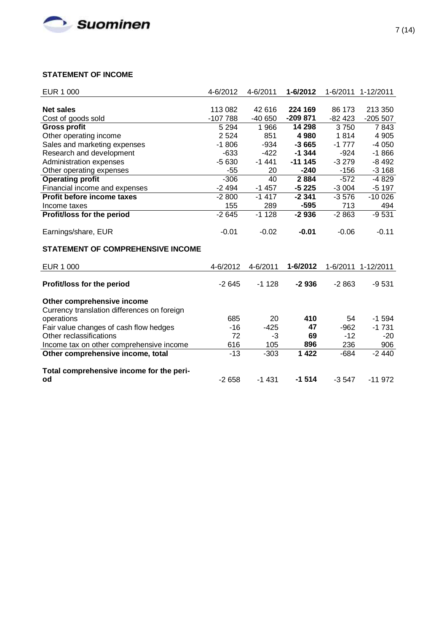

# **STATEMENT OF INCOME**

| EUR 1 000                                   | 4-6/2012           | 4-6/2011 | 1-6/2012  | 1-6/2011 | 1-12/2011 |
|---------------------------------------------|--------------------|----------|-----------|----------|-----------|
|                                             |                    |          |           |          |           |
| <b>Net sales</b>                            | 113 082            | 42 616   | 224 169   | 86 173   | 213 350   |
| Cost of goods sold                          | $-107788$          | $-40650$ | $-209871$ | $-82423$ | $-205507$ |
| <b>Gross profit</b>                         | $\overline{5}$ 294 | 1 966    | 14 298    | 3750     | 7843      |
| Other operating income                      | 2 5 24             | 851      | 4 9 8 0   | 1814     | 4 9 0 5   |
| Sales and marketing expenses                | $-1806$            | $-934$   | $-3665$   | $-1777$  | $-4050$   |
| Research and development                    | $-633$             | $-422$   | $-1344$   | $-924$   | $-1866$   |
| Administration expenses                     | $-5630$            | $-1441$  | $-111145$ | $-3279$  | $-8492$   |
| Other operating expenses                    | $-55$              | 20       | $-240$    | $-156$   | $-3168$   |
| <b>Operating profit</b>                     | $-306$             | 40       | 2884      | $-572$   | $-4829$   |
| Financial income and expenses               | $-2494$            | $-1457$  | $-5225$   | $-3004$  | $-5197$   |
| Profit before income taxes                  | $-2800$            | $-1417$  | $-2341$   | $-3576$  | $-100026$ |
| Income taxes                                | 155                | 289      | $-595$    | 713      | 494       |
| Profit/loss for the period                  | $-2645$            | $-1128$  | $-2936$   | $-2863$  | $-9531$   |
|                                             |                    |          |           |          |           |
| Earnings/share, EUR                         | $-0.01$            | $-0.02$  | $-0.01$   | $-0.06$  | $-0.11$   |
|                                             |                    |          |           |          |           |
| <b>STATEMENT OF COMPREHENSIVE INCOME</b>    |                    |          |           |          |           |
| EUR 1 000                                   | 4-6/2012           | 4-6/2011 | 1-6/2012  | 1-6/2011 | 1-12/2011 |
|                                             |                    |          |           |          |           |
| Profit/loss for the period                  | $-2645$            | $-1128$  | $-2936$   | $-2863$  | $-9531$   |
| Other comprehensive income                  |                    |          |           |          |           |
| Currency translation differences on foreign |                    |          |           |          |           |
| operations                                  | 685                | 20       | 410       | 54       | $-1594$   |
| Fair value changes of cash flow hedges      | $-16$              | $-425$   | 47        | $-962$   | $-1731$   |
| Other reclassifications                     | 72                 | $-3$     | 69        | $-12$    | $-20$     |
|                                             | 616                | 105      | 896       | 236      | 906       |
| Income tax on other comprehensive income    |                    |          |           |          | $-2440$   |
| Other comprehensive income, total           | $-13$              | $-303$   | 1 4 2 2   | $-684$   |           |
| Total comprehensive income for the peri-    |                    |          |           |          |           |
| od                                          | $-2658$            | $-1431$  | $-1514$   | $-3547$  | $-11972$  |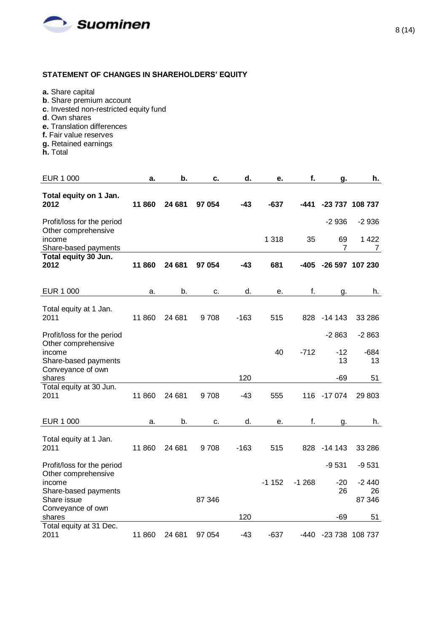

# **STATEMENT OF CHANGES IN SHAREHOLDERS' EQUITY**

- **a.** Share capital
- **b**. Share premium account
- **c**. Invested non-restricted equity fund
- **d**. Own shares
- **e.** Translation differences
- **f.** Fair value reserves
- **g.** Retained earnings
- **h.** Total

| EUR 1 000                                             | a.     | b.     | с.     | d.     | е.      | f.      | g.              | h.                      |
|-------------------------------------------------------|--------|--------|--------|--------|---------|---------|-----------------|-------------------------|
| Total equity on 1 Jan.<br>2012                        | 11 860 | 24 681 | 97 054 | $-43$  | $-637$  | -441    |                 | -23 737 108 737         |
| Profit/loss for the period<br>Other comprehensive     |        |        |        |        |         |         | $-2936$         | $-2936$                 |
| income<br>Share-based payments                        |        |        |        |        | 1 3 1 8 | 35      | 69<br>7         | 1 4 2 2<br>7            |
| Total equity 30 Jun.<br>2012                          | 11860  | 24 681 | 97 054 | $-43$  | 681     | $-405$  | -26 597 107 230 |                         |
| EUR 1 000                                             | a.     | b.     | c.     | d.     | е.      | f.      | g.              | h.                      |
| Total equity at 1 Jan.<br>2011                        | 11 860 | 24 681 | 9708   | $-163$ | 515     | 828     | $-14143$        | 33 286                  |
| Profit/loss for the period                            |        |        |        |        |         |         | $-2863$         | $-2863$                 |
| Other comprehensive<br>income<br>Share-based payments |        |        |        |        | 40      | $-712$  | $-12$<br>13     | $-684$<br>13            |
| Conveyance of own<br>shares                           |        |        |        | 120    |         |         | $-69$           | 51                      |
| Total equity at 30 Jun.<br>2011                       | 11 860 | 24 681 | 9708   | $-43$  | 555     | 116     | $-17074$        | 29 803                  |
| <b>EUR 1 000</b>                                      | a.     | b.     | c.     | d.     | е.      | f.      | g.              | h.                      |
| Total equity at 1 Jan.<br>2011                        | 11 860 | 24 681 | 9708   | $-163$ | 515     | 828     | $-14143$        | 33 286                  |
| Profit/loss for the period<br>Other comprehensive     |        |        |        |        |         |         | $-9531$         | $-9531$                 |
| income<br>Share-based payments<br>Share issue         |        |        | 87 346 |        | $-1152$ | $-1268$ | $-20$<br>26     | $-2440$<br>26<br>87 346 |
| Conveyance of own<br>shares                           |        |        |        | 120    |         |         | -69             | 51                      |
| Total equity at 31 Dec.<br>2011                       | 11 860 | 24 681 | 97 054 | $-43$  | $-637$  | -440    |                 | -23 738 108 737         |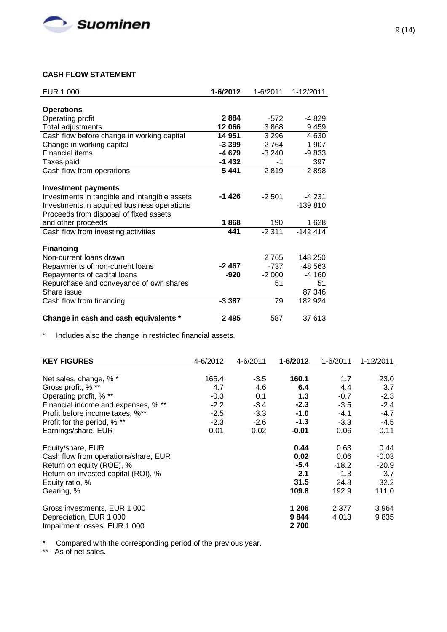

# **CASH FLOW STATEMENT**

| EUR 1 000                                     | 1-6/2012 | 1-6/2011 | 1-12/2011 |
|-----------------------------------------------|----------|----------|-----------|
|                                               |          |          |           |
| <b>Operations</b>                             |          |          |           |
| Operating profit                              | 2884     | $-572$   | -4829     |
| Total adjustments                             | 12 066   | 3868     | 9459      |
| Cash flow before change in working capital    | 14 951   | 3 2 9 6  | 4 6 3 0   |
| Change in working capital                     | $-3.399$ | 2 7 6 4  | 1 907     |
| Financial items                               | -4 679   | $-3240$  | $-9833$   |
| Taxes paid                                    | $-1432$  | -1       | 397       |
| Cash flow from operations                     | 5441     | 2819     | $-2898$   |
|                                               |          |          |           |
| <b>Investment payments</b>                    |          |          |           |
| Investments in tangible and intangible assets | $-1426$  | $-2501$  | $-4231$   |
| Investments in acquired business operations   |          |          | $-139810$ |
| Proceeds from disposal of fixed assets        |          |          |           |
| and other proceeds                            | 1868     | 190      | 1 6 2 8   |
| Cash flow from investing activities           | 441      | $-2311$  | $-142414$ |
|                                               |          |          |           |
| <b>Financing</b>                              |          |          |           |
| Non-current loans drawn                       |          | 2 7 6 5  | 148 250   |
| Repayments of non-current loans               | -2 467   | $-737$   | -48 563   |
| Repayments of capital loans                   | -920     | $-2000$  | -4 160    |
| Repurchase and conveyance of own shares       |          | 51       | 51        |
| Share issue                                   |          |          | 87 346    |
| Cash flow from financing                      | $-3387$  | 79       | 182 924   |
|                                               |          |          |           |
| Change in cash and cash equivalents *         | 2495     | 587      | 37 613    |

\* Includes also the change in restricted financial assets.

| <b>KEY FIGURES</b>                   | 4-6/2012 | 4-6/2011 | 1-6/2012 | 1-6/2011 | 1-12/2011 |
|--------------------------------------|----------|----------|----------|----------|-----------|
|                                      |          |          |          |          |           |
| Net sales, change, % *               | 165.4    | $-3.5$   | 160.1    | 1.7      | 23.0      |
| Gross profit, % **                   | 4.7      | 4.6      | 6.4      | 4.4      | 3.7       |
| Operating profit, % **               | $-0.3$   | 0.1      | 1.3      | $-0.7$   | $-2.3$    |
| Financial income and expenses, % **  | $-2.2$   | $-3.4$   | $-2.3$   | $-3.5$   | $-2.4$    |
| Profit before income taxes, %**      | $-2.5$   | $-3.3$   | $-1.0$   | $-4.1$   | $-4.7$    |
| Profit for the period, % **          | $-2.3$   | $-2.6$   | $-1.3$   | $-3.3$   | $-4.5$    |
| Earnings/share, EUR                  | $-0.01$  | $-0.02$  | $-0.01$  | $-0.06$  | $-0.11$   |
| Equity/share, EUR                    |          |          | 0.44     | 0.63     | 0.44      |
| Cash flow from operations/share, EUR |          |          | 0.02     | 0.06     | $-0.03$   |
| Return on equity (ROE), %            |          |          | $-5.4$   | -18.2    | $-20.9$   |
| Return on invested capital (ROI), %  |          |          | 2.1      | $-1.3$   | $-3.7$    |
| Equity ratio, %                      |          |          | 31.5     | 24.8     | 32.2      |
| Gearing, %                           |          |          | 109.8    | 192.9    | 111.0     |
| Gross investments, EUR 1 000         |          |          | 1 206    | 2 3 7 7  | 3 9 64    |
| Depreciation, EUR 1 000              |          |          | 9844     | 4 0 1 3  | 9835      |
| Impairment losses, EUR 1 000         |          |          | 2700     |          |           |

\* Compared with the corresponding period of the previous year.

\*\* As of net sales.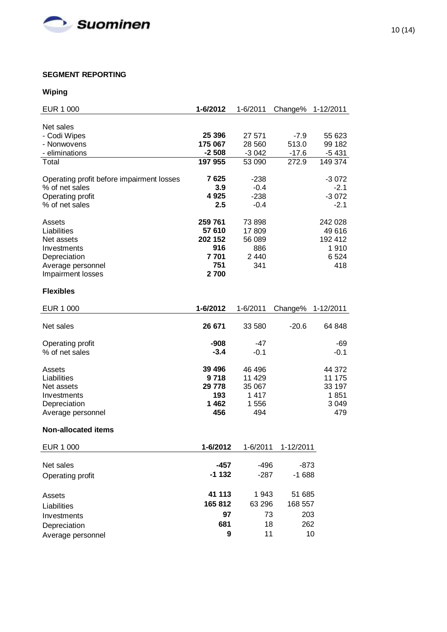

# **SEGMENT REPORTING**

# **Wiping**

| <b>EUR 1 000</b>                          | 1-6/2012          | 1-6/2011      | Change%   | 1-12/2011       |
|-------------------------------------------|-------------------|---------------|-----------|-----------------|
|                                           |                   |               |           |                 |
| Net sales                                 | 25 396            | 27 571        | $-7.9$    | 55 623          |
| - Codi Wipes<br>- Nonwovens               | 175 067           | 28 560        | 513.0     | 99 182          |
| - eliminations                            | $-2508$           | $-3042$       | $-17.6$   | $-5431$         |
| Total                                     | 197 955           | 53 090        | 272.9     | 149 374         |
|                                           |                   |               |           |                 |
| Operating profit before impairment losses | 7625              | $-238$        |           | $-3072$         |
| % of net sales                            | 3.9               | $-0.4$        |           | $-2.1$          |
| Operating profit                          | 4925              | $-238$        |           | $-3072$         |
| % of net sales                            | 2.5               | $-0.4$        |           | $-2.1$          |
|                                           |                   |               |           |                 |
| Assets                                    | 259 761           | 73 898        |           | 242 028         |
| Liabilities                               | 57 610<br>202 152 | 17809         |           | 49 616          |
| Net assets<br>Investments                 | 916               | 56 089<br>886 |           | 192 412<br>1910 |
| Depreciation                              | 7701              | 2 4 4 0       |           | 6524            |
| Average personnel                         | 751               | 341           |           | 418             |
| Impairment losses                         | 2700              |               |           |                 |
|                                           |                   |               |           |                 |
| <b>Flexibles</b>                          |                   |               |           |                 |
| EUR 1 000                                 | 1-6/2012          | 1-6/2011      | Change%   | 1-12/2011       |
|                                           |                   |               |           |                 |
| Net sales                                 | 26 671            | 33 580        | $-20.6$   | 64 848          |
|                                           |                   |               |           |                 |
| Operating profit                          | -908              | -47           |           | -69             |
| % of net sales                            | $-3.4$            | $-0.1$        |           | $-0.1$          |
| Assets                                    | 39 4 96           | 46 496        |           | 44 372          |
| Liabilities                               | 9718              | 11 4 29       |           | 11 175          |
| Net assets                                | 29 778            | 35 067        |           | 33 197          |
| Investments                               | 193               | 1417          |           | 1851            |
| Depreciation                              | 1462              | 1 556         |           | 3 0 4 9         |
| Average personnel                         | 456               | 494           |           | 479             |
|                                           |                   |               |           |                 |
| <b>Non-allocated items</b>                |                   |               |           |                 |
| <b>EUR 1 000</b>                          | 1-6/2012          | 1-6/2011      | 1-12/2011 |                 |
|                                           |                   |               |           |                 |
| Net sales                                 | $-457$            | $-496$        | -873      |                 |
| Operating profit                          | $-1132$           | $-287$        | $-1688$   |                 |
| Assets                                    | 41 113            | 1943          | 51 685    |                 |
|                                           | 165 812           | 63 296        | 168 557   |                 |
| Liabilities                               | 97                |               |           |                 |
| Investments                               |                   | 73            | 203       |                 |
| Depreciation                              | 681               | 18            | 262       |                 |
| Average personnel                         | 9                 | 11            | 10        |                 |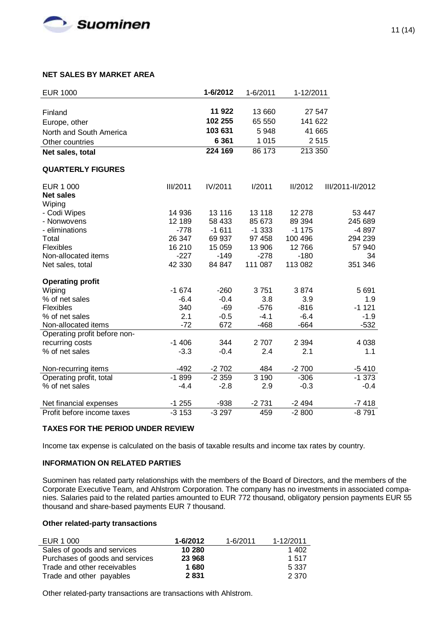

## **NET SALES BY MARKET AREA**

| <b>EUR 1000</b>              |                 | 1-6/2012 | 1-6/2011 | 1-12/2011 |                  |
|------------------------------|-----------------|----------|----------|-----------|------------------|
|                              |                 |          |          |           |                  |
| Finland                      |                 | 11 922   | 13 660   | 27 547    |                  |
| Europe, other                |                 | 102 255  | 65 550   | 141 622   |                  |
| North and South America      |                 | 103 631  | 5948     | 41 665    |                  |
| Other countries              |                 | 6 3 6 1  | 1 0 1 5  |           | 2515             |
| Net sales, total             |                 | 224 169  | 86 173   | 213 350   |                  |
| <b>QUARTERLY FIGURES</b>     |                 |          |          |           |                  |
| EUR 1 000                    | <b>III/2011</b> | IV/2011  | I/2011   | II/2012   | III/2011-II/2012 |
| <b>Net sales</b>             |                 |          |          |           |                  |
| Wiping                       |                 |          |          |           |                  |
| - Codi Wipes                 | 14 936          | 13 116   | 13 118   | 12 278    | 53 447           |
| - Nonwovens                  | 12 189          | 58 433   | 85 673   | 89 394    | 245 689          |
| - eliminations               | $-778$          | $-1611$  | $-1333$  | $-1175$   | -4 897           |
| Total                        | 26 347          | 69 937   | 97 458   | 100 496   | 294 239          |
| Flexibles                    | 16 210          | 15 059   | 13 906   | 12766     | 57 940           |
| Non-allocated items          | $-227$          | $-149$   | $-278$   | $-180$    | 34               |
| Net sales, total             | 42 330          | 84 847   | 111 087  | 113 082   | 351 346          |
| <b>Operating profit</b>      |                 |          |          |           |                  |
| Wiping                       | $-1674$         | $-260$   | 3751     | 3874      | 5691             |
| % of net sales               | $-6.4$          | $-0.4$   | 3.8      | 3.9       | 1.9              |
| Flexibles                    | 340             | $-69$    | $-576$   | $-816$    | $-1121$          |
| % of net sales               | 2.1             | $-0.5$   | $-4.1$   | $-6.4$    | $-1.9$           |
| Non-allocated items          | $-72$           | 672      | $-468$   | $-664$    | $-532$           |
| Operating profit before non- |                 |          |          |           |                  |
| recurring costs              | $-1406$         | 344      | 2707     | 2 3 9 4   | 4 0 38           |
| % of net sales               | $-3.3$          | $-0.4$   | 2.4      | 2.1       | 1.1              |
| Non-recurring items          | $-492$          | $-2702$  | 484      | $-2700$   | $-5410$          |
| Operating profit, total      | $-1899$         | $-2359$  | 3190     | $-306$    | $-1373$          |
| % of net sales               | $-4.4$          | $-2.8$   | 2.9      | $-0.3$    | $-0.4$           |
| Net financial expenses       | $-1255$         | $-938$   | $-2731$  | $-2494$   | $-7418$          |
| Profit before income taxes   | $-3153$         | $-3297$  | 459      | $-2800$   | $-8791$          |

### **TAXES FOR THE PERIOD UNDER REVIEW**

Income tax expense is calculated on the basis of taxable results and income tax rates by country.

# **INFORMATION ON RELATED PARTIES**

Suominen has related party relationships with the members of the Board of Directors, and the members of the Corporate Executive Team, and Ahlstrom Corporation. The company has no investments in associated companies. Salaries paid to the related parties amounted to EUR 772 thousand, obligatory pension payments EUR 55 thousand and share-based payments EUR 7 thousand.

#### **Other related-party transactions**

| EUR 1 000                       | $1 - 6/2012$ | $1 - 6/2011$ | 1-12/2011 |
|---------------------------------|--------------|--------------|-----------|
| Sales of goods and services     | 10 280       |              | 1 402     |
| Purchases of goods and services | 23 968       |              | 1517      |
| Trade and other receivables     | 1680         |              | 5 337     |
| Trade and other payables        | 2831         |              | 2 370     |

Other related-party transactions are transactions with Ahlstrom.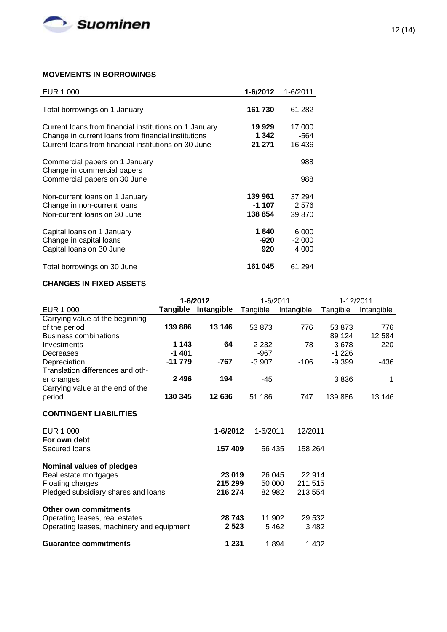

# **MOVEMENTS IN BORROWINGS**

| EUR 1 000                                              | 1-6/2012 | 1-6/2011 |
|--------------------------------------------------------|----------|----------|
|                                                        |          |          |
| Total borrowings on 1 January                          | 161 730  | 61 282   |
|                                                        |          |          |
| Current loans from financial institutions on 1 January | 19 929   | 17 000   |
| Change in current loans from financial institutions    | 1 342    | -564     |
| Current loans from financial institutions on 30 June   | 21 271   | 16 436   |
|                                                        |          |          |
| Commercial papers on 1 January                         |          | 988      |
| Change in commercial papers                            |          |          |
| Commercial papers on 30 June                           |          | 988      |
|                                                        |          |          |
| Non-current loans on 1 January                         | 139 961  | 37 294   |
| Change in non-current loans                            | -1 107   | 2576     |
| Non-current loans on 30 June                           | 138 854  | 39 870   |
|                                                        |          |          |
| Capital loans on 1 January                             | 1840     | 6 000    |
| Change in capital loans                                | -920     | $-2000$  |
| Capital loans on 30 June                               | 920      | 4 0 0 0  |
|                                                        |          |          |
| Total borrowings on 30 June                            | 161 045  | 61 294   |

# **CHANGES IN FIXED ASSETS**

|                                  |                 | 1-6/2012   | 1-6/2011 |            |          | 1-12/2011  |
|----------------------------------|-----------------|------------|----------|------------|----------|------------|
| EUR 1 000                        | <b>Tangible</b> | Intangible | Tangible | Intangible | Tangible | Intangible |
| Carrying value at the beginning  |                 |            |          |            |          |            |
| of the period                    | 139886          | 13 146     | 53 873   | 776        | 53 873   | 776        |
| <b>Business combinations</b>     |                 |            |          |            | 89 124   | 12 5 84    |
| Investments                      | 1 1 4 3         | 64         | 2 2 3 2  | 78         | 3678     | 220        |
| Decreases                        | $-1401$         |            | -967     |            | $-1226$  |            |
| Depreciation                     | -11 779         | -767       | $-3907$  | $-106$     | $-9.399$ | -436       |
| Translation differences and oth- |                 |            |          |            |          |            |
| er changes                       | 2 4 9 6         | 194        | -45      |            | 3836     |            |
| Carrying value at the end of the |                 |            |          |            |          |            |
| period                           | 130 345         | 12 636     | 51 186   | 747        | 139886   | 13 146     |

# **CONTINGENT LIABILITIES**

| EUR 1 000                                 | 1-6/2012 | 1-6/2011 | 12/2011 |
|-------------------------------------------|----------|----------|---------|
| For own debt                              |          |          |         |
| Secured loans                             | 157409   | 56 435   | 158 264 |
| Nominal values of pledges                 |          |          |         |
| Real estate mortgages                     | 23 019   | 26 045   | 22 914  |
| Floating charges                          | 215 299  | 50 000   | 211 515 |
| Pledged subsidiary shares and loans       | 216 274  | 82 982   | 213 554 |
| Other own commitments                     |          |          |         |
| Operating leases, real estates            | 28 743   | 11 902   | 29 532  |
| Operating leases, machinery and equipment | 2 5 2 3  | 5462     | 3482    |
| <b>Guarantee commitments</b>              | 1 231    | 1894     | 1432    |